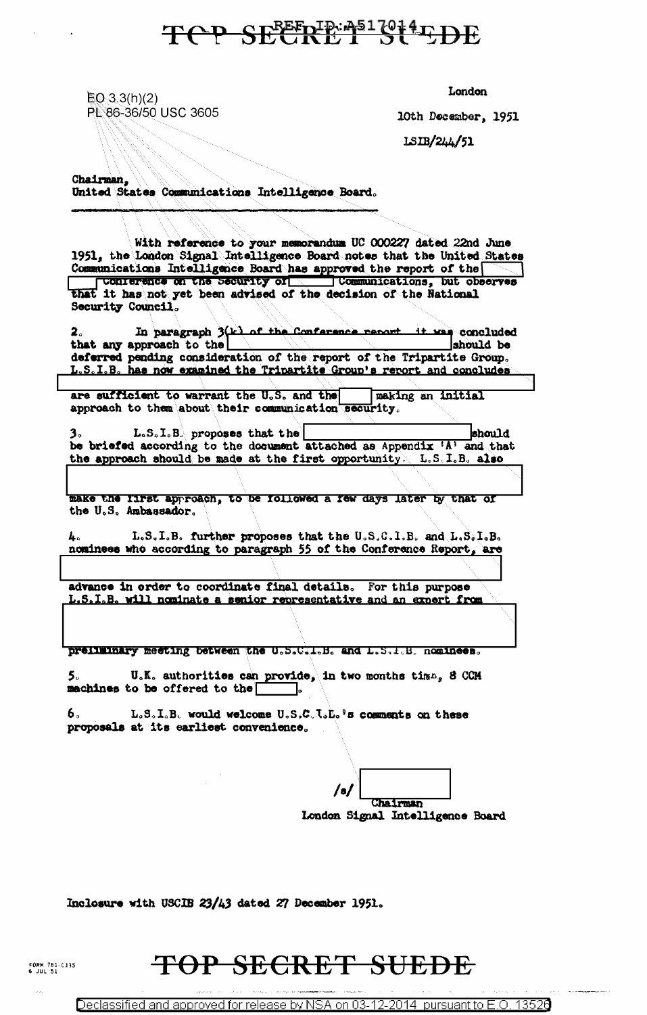### TOP SECRETERS OF LEDE

 $EQ \cdot 3.3(h)(2)$ PL 86-36/50 USC 3605 London

10th December, 1951

1SIB/244/51

Chairman. United States Communications Intelligence Board.

With reference to your memorandum UC 000227 dated 22nd June 1951, the London Signal Intelligence Board notes that the United States Communications Intelligence Board has approved the report of the connections, but observes that it has not yet been advised of the decision of the National Security Council.

In paragraph 3(k) of the Conference report it was concluded  $2.$ that any approach to the should be deferred pending consideration of the report of the Tripartite Group. L.S.I.B. has now examined the Tripartite Group's report and concludes

are sufficient to warrant the U.S. and the paking an initial approach to them about their communication security.

3. L.S.I.B. proposes that the  $\begin{array}{|l|l|} \hline \textbf{3} & \textbf{5} & \textbf{3} \\ \hline \textbf{4} & \textbf{5} & \textbf{6} \\ \hline \textbf{5} & \textbf{6} & \textbf{7} \\ \hline \end{array}$ the approach should be made at the first opportunity. L.S.I.B. also

make the lifst approach, to be followed a few days later by that of the U.S. Ambassador.

L.S.I.B. further proposes that the U.S.C.I.B. and L.S.I.B. nominees who according to paragraph 55 of the Conference Report, are

advance in order to coordinate final details. For this purpose L.S.I.B. will nominate a senior recresentative and an expert from

preliminary meeting between the U.S.C.I.B. and L.S.I.B. nominees.

U.K. authorities can provide, in two months time, 8 CCM machines to be offered to the

6,  $L.S.S.S.$  would welcome  $U.S.C.S.S.s$  is comments on these proposals at its earliest convenience.

Chairman London Signal Intelligence Board

Inclosure with USCIB 23/43 dated 27 December 1951.

#### TOP SECRET SUEDE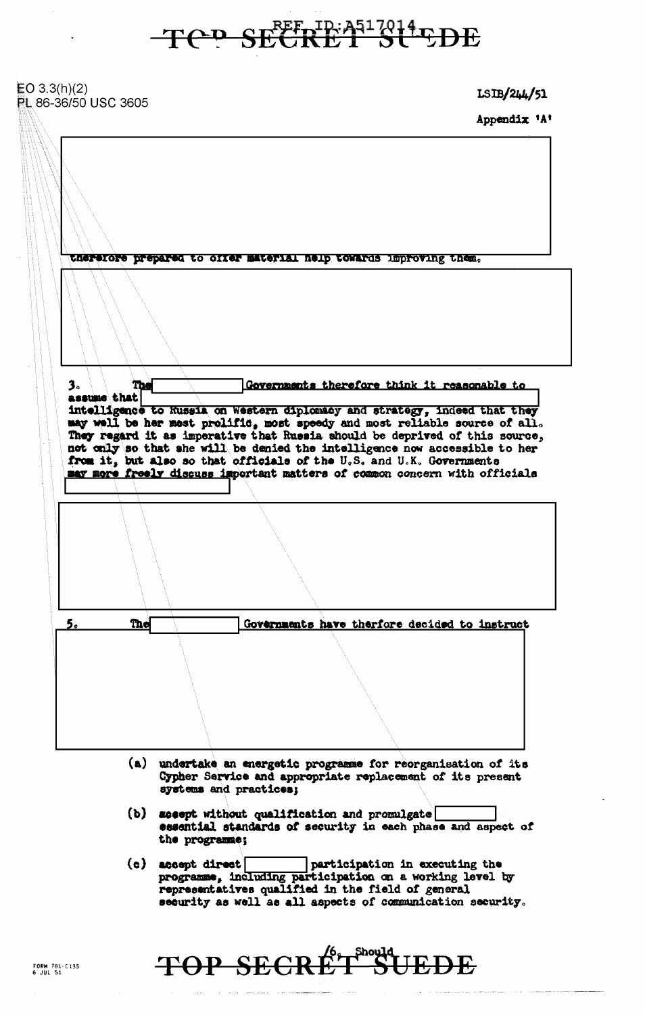Tep SECRET SUPDE

| EO $3.3(h)(2)$<br><b>PL 86-36/50 USC 3605</b> | LSH/244/51                                                                                                                                                                                                                                                                                                                                                                                                                                                                                                                                                                                        |
|-----------------------------------------------|---------------------------------------------------------------------------------------------------------------------------------------------------------------------------------------------------------------------------------------------------------------------------------------------------------------------------------------------------------------------------------------------------------------------------------------------------------------------------------------------------------------------------------------------------------------------------------------------------|
|                                               | Appendix 'A'                                                                                                                                                                                                                                                                                                                                                                                                                                                                                                                                                                                      |
| 3.<br>The<br>assume that                      | therefore prepared to offer material neip towards improving them.<br>Governments therefore think it reasonable to<br>intelligence to Russia on Western diplomacy and strategy, indeed that they<br>may well be her mest prolific, most speedy and most reliable source of all.<br>They regard it as imperative that Russia should be deprived of this source,<br>not only so that she will be denied the intelligence now accessible to her<br>from it, but also so that officials of the U.S. and U.K. Governments<br>may more freely discuss important matters of common concern with officials |
|                                               |                                                                                                                                                                                                                                                                                                                                                                                                                                                                                                                                                                                                   |
|                                               |                                                                                                                                                                                                                                                                                                                                                                                                                                                                                                                                                                                                   |
| The<br>5.                                     | Governments have therfore decided to instruct                                                                                                                                                                                                                                                                                                                                                                                                                                                                                                                                                     |
|                                               |                                                                                                                                                                                                                                                                                                                                                                                                                                                                                                                                                                                                   |
|                                               |                                                                                                                                                                                                                                                                                                                                                                                                                                                                                                                                                                                                   |
|                                               | (a) undertake an energetic programme for reorganisation of its<br>Cypher Service and appropriate replacement of its present<br>systems and practices;                                                                                                                                                                                                                                                                                                                                                                                                                                             |
|                                               | (b) accept without qualification and promulgate<br>essential standards of security in each phase and aspect of<br>the programme;                                                                                                                                                                                                                                                                                                                                                                                                                                                                  |
|                                               | $(c)$ accept direct<br>participation in executing the<br>programme, including participation on a working level by<br>representatives qualified in the field of general<br>security as well as all aspects of communication security.                                                                                                                                                                                                                                                                                                                                                              |

## TOP SECRET SUEDE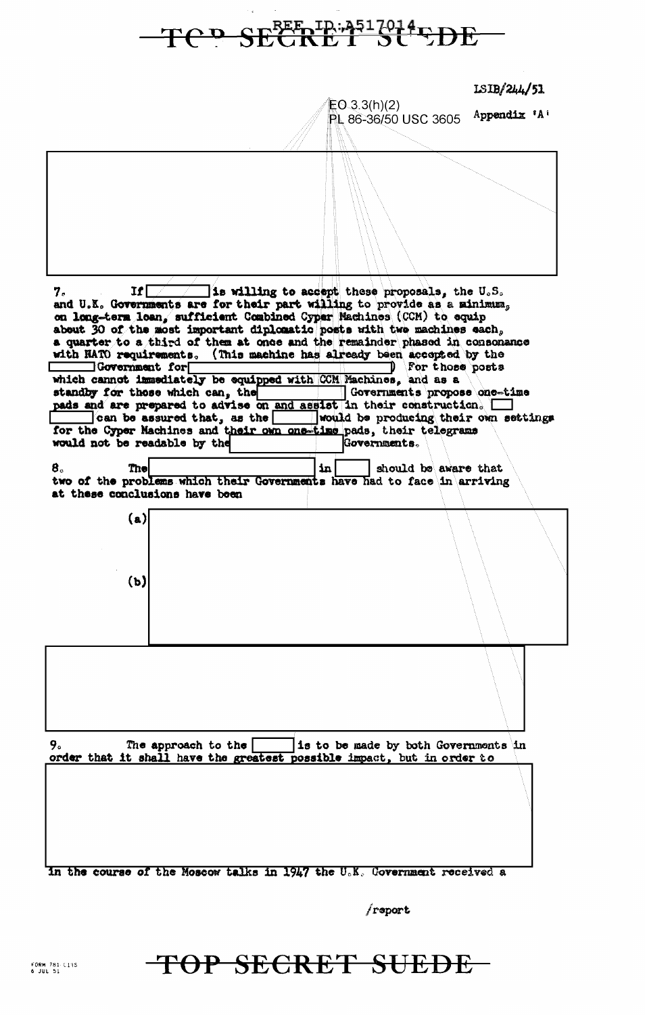

freport

TOP SECRET SUEDE